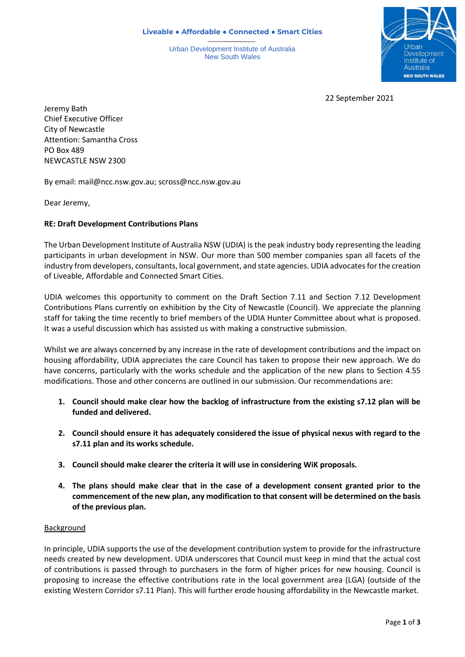**Liveable ● Affordable ● Connected ● Smart Cities**

Urban Development Institute of Australia New South Wales



22 September 2021

Jeremy Bath Chief Executive Officer City of Newcastle Attention: Samantha Cross PO Box 489 NEWCASTLE NSW 2300

By email: [mail@ncc.nsw.gov.au;](mailto:mail@ncc.nsw.gov.au) scross@ncc.nsw.gov.au

Dear Jeremy,

## **RE: Draft Development Contributions Plans**

The Urban Development Institute of Australia NSW (UDIA) is the peak industry body representing the leading participants in urban development in NSW. Our more than 500 member companies span all facets of the industry from developers, consultants, local government, and state agencies. UDIA advocates for the creation of Liveable, Affordable and Connected Smart Cities.

UDIA welcomes this opportunity to comment on the Draft Section 7.11 and Section 7.12 Development Contributions Plans currently on exhibition by the City of Newcastle (Council). We appreciate the planning staff for taking the time recently to brief members of the UDIA Hunter Committee about what is proposed. It was a useful discussion which has assisted us with making a constructive submission.

Whilst we are always concerned by any increase in the rate of development contributions and the impact on housing affordability, UDIA appreciates the care Council has taken to propose their new approach. We do have concerns, particularly with the works schedule and the application of the new plans to Section 4.55 modifications. Those and other concerns are outlined in our submission. Our recommendations are:

- **1. Council should make clear how the backlog of infrastructure from the existing s7.12 plan will be funded and delivered.**
- **2. Council should ensure it has adequately considered the issue of physical nexus with regard to the s7.11 plan and its works schedule.**
- **3. Council should make clearer the criteria it will use in considering WiK proposals.**
- **4. The plans should make clear that in the case of a development consent granted prior to the commencement of the new plan, any modification to that consent will be determined on the basis of the previous plan.**

### Background

In principle, UDIA supports the use of the development contribution system to provide for the infrastructure needs created by new development. UDIA underscores that Council must keep in mind that the actual cost of contributions is passed through to purchasers in the form of higher prices for new housing. Council is proposing to increase the effective contributions rate in the local government area (LGA) (outside of the existing Western Corridor s7.11 Plan). This will further erode housing affordability in the Newcastle market.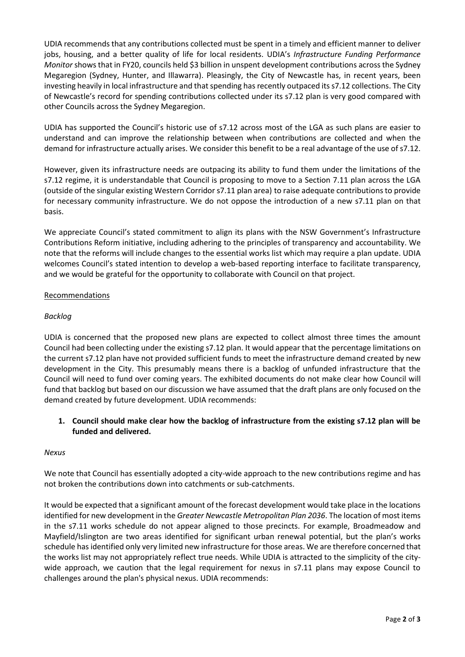UDIA recommends that any contributions collected must be spent in a timely and efficient manner to deliver jobs, housing, and a better quality of life for local residents. UDIA's *Infrastructure Funding Performance Monitor* shows that in FY20, councils held \$3 billion in unspent development contributions across the Sydney Megaregion (Sydney, Hunter, and Illawarra). Pleasingly, the City of Newcastle has, in recent years, been investing heavily in local infrastructure and that spending has recently outpaced its s7.12 collections. The City of Newcastle's record for spending contributions collected under its s7.12 plan is very good compared with other Councils across the Sydney Megaregion.

UDIA has supported the Council's historic use of s7.12 across most of the LGA as such plans are easier to understand and can improve the relationship between when contributions are collected and when the demand for infrastructure actually arises. We consider this benefit to be a real advantage of the use of s7.12.

However, given its infrastructure needs are outpacing its ability to fund them under the limitations of the s7.12 regime, it is understandable that Council is proposing to move to a Section 7.11 plan across the LGA (outside of the singular existing Western Corridor s7.11 plan area) to raise adequate contributions to provide for necessary community infrastructure. We do not oppose the introduction of a new s7.11 plan on that basis.

We appreciate Council's stated commitment to align its plans with the NSW Government's Infrastructure Contributions Reform initiative, including adhering to the principles of transparency and accountability. We note that the reforms will include changes to the essential works list which may require a plan update. UDIA welcomes Council's stated intention to develop a web-based reporting interface to facilitate transparency, and we would be grateful for the opportunity to collaborate with Council on that project.

# Recommendations

# *Backlog*

UDIA is concerned that the proposed new plans are expected to collect almost three times the amount Council had been collecting under the existing s7.12 plan. It would appear that the percentage limitations on the current s7.12 plan have not provided sufficient funds to meet the infrastructure demand created by new development in the City. This presumably means there is a backlog of unfunded infrastructure that the Council will need to fund over coming years. The exhibited documents do not make clear how Council will fund that backlog but based on our discussion we have assumed that the draft plans are only focused on the demand created by future development. UDIA recommends:

# **1. Council should make clear how the backlog of infrastructure from the existing s7.12 plan will be funded and delivered.**

# *Nexus*

We note that Council has essentially adopted a city-wide approach to the new contributions regime and has not broken the contributions down into catchments or sub-catchments.

It would be expected that a significant amount of the forecast development would take place in the locations identified for new development in the *Greater Newcastle Metropolitan Plan 2036*. The location of most items in the s7.11 works schedule do not appear aligned to those precincts. For example, Broadmeadow and Mayfield/Islington are two areas identified for significant urban renewal potential, but the plan's works schedule hasidentified only very limited new infrastructure for those areas. We are therefore concerned that the works list may not appropriately reflect true needs. While UDIA is attracted to the simplicity of the citywide approach, we caution that the legal requirement for nexus in s7.11 plans may expose Council to challenges around the plan's physical nexus. UDIA recommends: